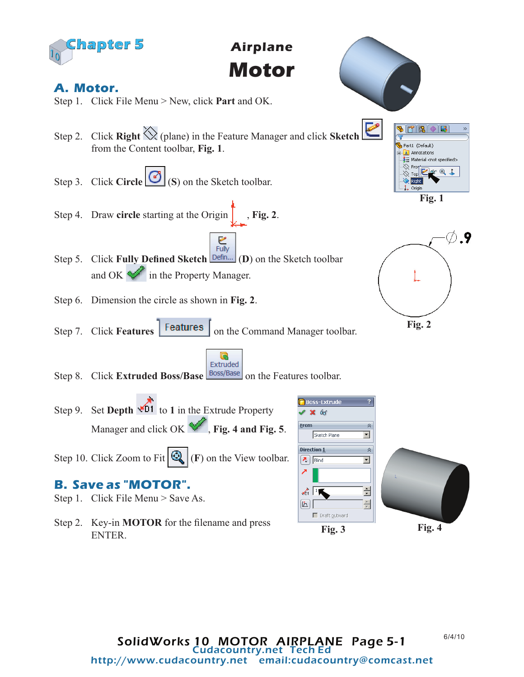

**Airplane Motor**

## **A. Motor.**

- Step 1. Click File Menu > New, click **Part** and OK.
- Step 2. Click **Right** (plane) in the Feature Manager and click **Sketch**  from the Content toolbar, **Fig. 1**.
- Step 3. Click **Circle** (**S**) on the Sketch toolbar.
- Step 4. Draw **circle** starting at the Origin , **Fig. 2**.
- $rac{1}{2}$  Fully Step 5. Click Fully Defined Sketch **Defin...** (D) on the Sketch toolbar and OK in the Property Manager.
- Step 6. Dimension the circle as shown in **Fig. 2**.
- Step 7. Click **Features Features** on the Command Manager toolbar.
- Extruded Step 8. Click **Extruded Boss/Base Boss/Base** on the Features toolbar.
- Step 9. Set **Depth**  $\sqrt{D1}$  to 1 in the Extrude Property Manager and click OK  $\blacktriangledown$ , **Fig. 4 and Fig. 5**.
- Step 10. Click Zoom to Fit  $\mathbb{Q}_r$  (F) on the View toolbar.

## **B. Save as "MOTOR".**

- Step 1. Click File Menu > Save As.
- Step 2. Key-in **MOTOR** for the filename and press ENTER.









From

 $[\mathbf{L}]$